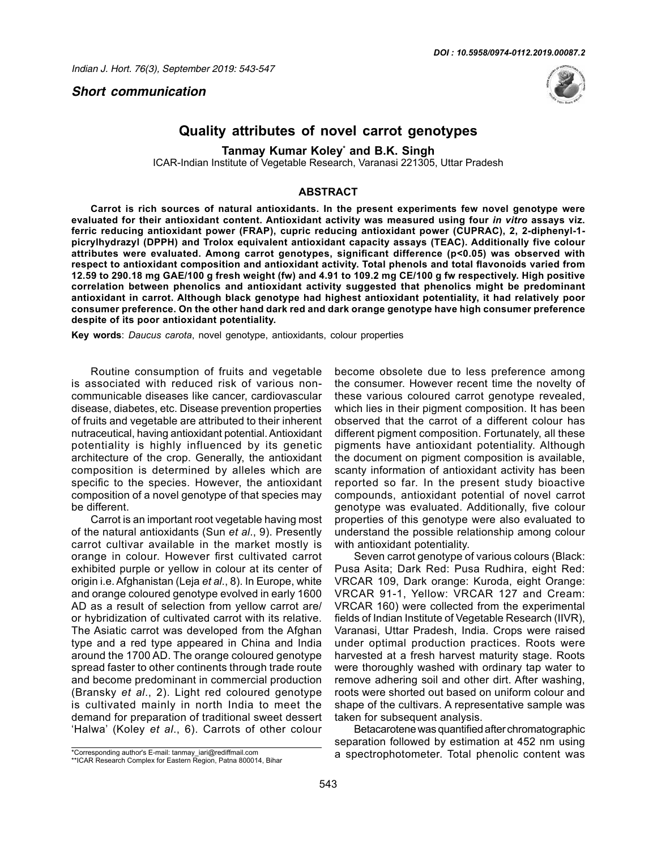*Short communication*



## **Quality attributes of novel carrot genotypes**

**Tanmay Kumar Koley\* and B.K. Singh**

ICAR-Indian Institute of Vegetable Research, Varanasi 221305, Uttar Pradesh

## **ABSTRACT**

**Carrot is rich sources of natural antioxidants. In the present experiments few novel genotype were evaluated for their antioxidant content. Antioxidant activity was measured using four** *in vitro* **assays viz. ferric reducing antioxidant power (FRAP), cupric reducing antioxidant power (CUPRAC), 2, 2-diphenyl-1 picrylhydrazyl (DPPH) and Trolox equivalent antioxidant capacity assays (TEAC). Additionally five colour attributes were evaluated. Among carrot genotypes, significant difference (p<0.05) was observed with respect to antioxidant composition and antioxidant activity. Total phenols and total flavonoids varied from 12.59 to 290.18 mg GAE/100 g fresh weight (fw) and 4.91 to 109.2 mg CE/100 g fw respectively. High positive correlation between phenolics and antioxidant activity suggested that phenolics might be predominant antioxidant in carrot. Although black genotype had highest antioxidant potentiality, it had relatively poor consumer preference. On the other hand dark red and dark orange genotype have high consumer preference despite of its poor antioxidant potentiality.** 

**Key words**: *Daucus carota*, novel genotype, antioxidants, colour properties

Routine consumption of fruits and vegetable is associated with reduced risk of various noncommunicable diseases like cancer, cardiovascular disease, diabetes, etc. Disease prevention properties of fruits and vegetable are attributed to their inherent nutraceutical, having antioxidant potential. Antioxidant potentiality is highly influenced by its genetic architecture of the crop. Generally, the antioxidant composition is determined by alleles which are specific to the species. However, the antioxidant composition of a novel genotype of that species may be different.

Carrot is an important root vegetable having most of the natural antioxidants (Sun *et al*., 9). Presently carrot cultivar available in the market mostly is orange in colour. However first cultivated carrot exhibited purple or yellow in colour at its center of origin i.e. Afghanistan (Leja *et al*., 8). In Europe, white and orange coloured genotype evolved in early 1600 AD as a result of selection from yellow carrot are/ or hybridization of cultivated carrot with its relative. The Asiatic carrot was developed from the Afghan type and a red type appeared in China and India around the 1700 AD. The orange coloured genotype spread faster to other continents through trade route and become predominant in commercial production (Bransky *et al*., 2). Light red coloured genotype is cultivated mainly in north India to meet the demand for preparation of traditional sweet dessert 'Halwa' (Koley *et al*., 6). Carrots of other colour

become obsolete due to less preference among the consumer. However recent time the novelty of these various coloured carrot genotype revealed, which lies in their pigment composition. It has been observed that the carrot of a different colour has different pigment composition. Fortunately, all these pigments have antioxidant potentiality. Although the document on pigment composition is available, scanty information of antioxidant activity has been reported so far. In the present study bioactive compounds, antioxidant potential of novel carrot genotype was evaluated. Additionally, five colour properties of this genotype were also evaluated to understand the possible relationship among colour with antioxidant potentiality.

Seven carrot genotype of various colours (Black: Pusa Asita; Dark Red: Pusa Rudhira, eight Red: VRCAR 109, Dark orange: Kuroda, eight Orange: VRCAR 91-1, Yellow: VRCAR 127 and Cream: VRCAR 160) were collected from the experimental fields of Indian Institute of Vegetable Research (IIVR), Varanasi, Uttar Pradesh, India. Crops were raised under optimal production practices. Roots were harvested at a fresh harvest maturity stage. Roots were thoroughly washed with ordinary tap water to remove adhering soil and other dirt. After washing, roots were shorted out based on uniform colour and shape of the cultivars. A representative sample was taken for subsequent analysis.

Betacarotene was quantified after chromatographic separation followed by estimation at 452 nm using a spectrophotometer. Total phenolic content was

<sup>\*</sup>Corresponding author's E-mail: tanmay\_iari@rediffmail.com

<sup>\*\*</sup>ICAR Research Complex for Eastern Region, Patna 800014, Bihar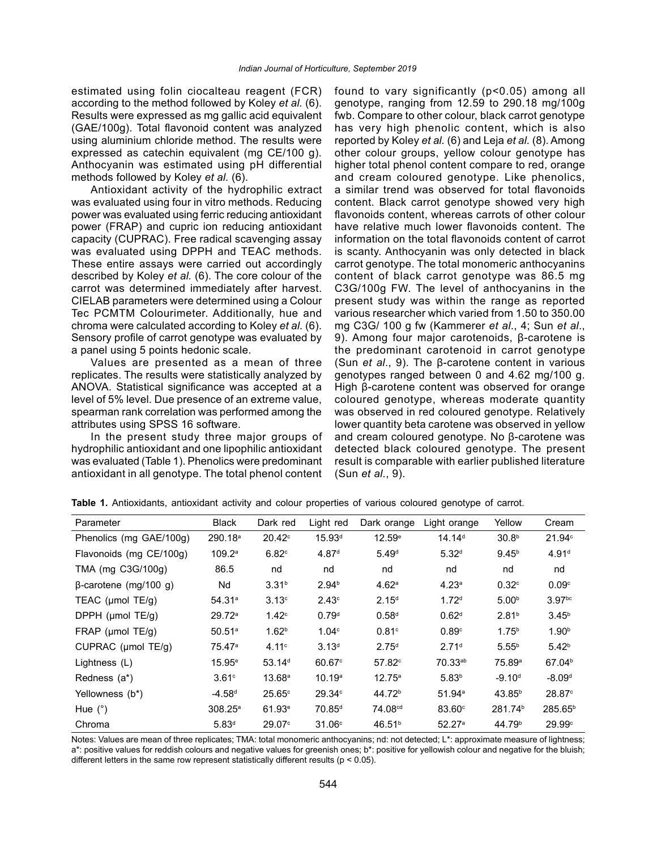estimated using folin ciocalteau reagent (FCR) according to the method followed by Koley *et al.* (6). Results were expressed as mg gallic acid equivalent (GAE/100g). Total flavonoid content was analyzed using aluminium chloride method. The results were expressed as catechin equivalent (mg CE/100 g). Anthocyanin was estimated using pH differential methods followed by Koley *et al.* (6).

Antioxidant activity of the hydrophilic extract was evaluated using four in vitro methods. Reducing power was evaluated using ferric reducing antioxidant power (FRAP) and cupric ion reducing antioxidant capacity (CUPRAC). Free radical scavenging assay was evaluated using DPPH and TEAC methods. These entire assays were carried out accordingly described by Koley *et al.* (6). The core colour of the carrot was determined immediately after harvest. CIELAB parameters were determined using a Colour Tec PCMTM Colourimeter. Additionally, hue and chroma were calculated according to Koley *et al.* (6). Sensory profile of carrot genotype was evaluated by a panel using 5 points hedonic scale.

Values are presented as a mean of three replicates. The results were statistically analyzed by ANOVA. Statistical significance was accepted at a level of 5% level. Due presence of an extreme value, spearman rank correlation was performed among the attributes using SPSS 16 software.

In the present study three major groups of hydrophilic antioxidant and one lipophilic antioxidant was evaluated (Table 1). Phenolics were predominant antioxidant in all genotype. The total phenol content found to vary significantly (p<0.05) among all genotype, ranging from 12.59 to 290.18 mg/100g fwb. Compare to other colour, black carrot genotype has very high phenolic content, which is also reported by Koley *et al.* (6) and Leja *et al.* (8). Among other colour groups, yellow colour genotype has higher total phenol content compare to red, orange and cream coloured genotype. Like phenolics, a similar trend was observed for total flavonoids content. Black carrot genotype showed very high flavonoids content, whereas carrots of other colour have relative much lower flavonoids content. The information on the total flavonoids content of carrot is scanty. Anthocyanin was only detected in black carrot genotype. The total monomeric anthocyanins content of black carrot genotype was 86.5 mg C3G/100g FW. The level of anthocyanins in the present study was within the range as reported various researcher which varied from 1.50 to 350.00 mg C3G/ 100 g fw (Kammerer *et al*., 4; Sun *et al*., 9). Among four major carotenoids, β-carotene is the predominant carotenoid in carrot genotype (Sun *et al*., 9). The β-carotene content in various genotypes ranged between 0 and 4.62 mg/100 g. High β-carotene content was observed for orange coloured genotype, whereas moderate quantity was observed in red coloured genotype. Relatively lower quantity beta carotene was observed in yellow and cream coloured genotype. No β-carotene was detected black coloured genotype. The present result is comparable with earlier published literature (Sun *et al.*, 9).

| Parameter                    | <b>Black</b>        | Dark red           | Light red          | Dark orange         | Light orange       | Yellow              | Cream                |
|------------------------------|---------------------|--------------------|--------------------|---------------------|--------------------|---------------------|----------------------|
| Phenolics (mg GAE/100g)      | 290.18 <sup>a</sup> | $20.42^{\circ}$    | 15.93 <sup>d</sup> | 12.59e              | 14.14 <sup>d</sup> | 30.8 <sup>b</sup>   | $21.94^\circ$        |
| Flavonoids (mg CE/100g)      | 109.2a              | 6.82c              | 4.87 <sup>d</sup>  | 5.49 <sup>d</sup>   | $5.32^{d}$         | 9.45 <sup>b</sup>   | 4.91 <sup>d</sup>    |
| TMA (mg C3G/100g)            | 86.5                | nd                 | nd                 | nd                  | nd                 | nd                  | nd                   |
| $\beta$ -carotene (mg/100 g) | Nd                  | 3.31 <sup>b</sup>  | 2.94 <sup>b</sup>  | 4.62 <sup>a</sup>   | 4.23 <sup>a</sup>  | 0.32c               | 0.09 <sup>c</sup>    |
| TEAC ( $\mu$ mol TE/g)       | 54.31a              | 3.13 <sup>c</sup>  | 2.43 <sup>c</sup>  | 2.15 <sup>d</sup>   | 1.72 <sup>d</sup>  | 5.00 <sup>b</sup>   | 3.97 <sup>bc</sup>   |
| DPPH (µmol TE/g)             | 29.72 <sup>a</sup>  | 1.42 <sup>c</sup>  | 0.79 <sup>d</sup>  | 0.58 <sup>d</sup>   | 0.62 <sup>d</sup>  | 2.81 <sup>b</sup>   | 3.45 <sup>b</sup>    |
| FRAP (µmol TE/g)             | $50.51^{\circ}$     | 1.62 <sup>b</sup>  | 1.04 <sup>c</sup>  | 0.81 <sup>c</sup>   | 0.89c              | 1.75 <sup>b</sup>   | 1.90 <sup>b</sup>    |
| CUPRAC (µmol TE/g)           | 75.47a              | 4.11c              | 3.13 <sup>d</sup>  | 2.75 <sup>d</sup>   | 2.71 <sup>d</sup>  | $5.55^{b}$          | 5.42 <sup>b</sup>    |
| Lightness (L)                | 15.95e              | 53.14 <sup>d</sup> | 60.67 <sup>c</sup> | 57.82c              | 70.33ab            | 75.89 <sup>a</sup>  | 67.04 <sup>b</sup>   |
| Redness (a*)                 | 3.61 <sup>c</sup>   | 13.68 <sup>a</sup> | 10.19 <sup>a</sup> | $12.75^{\circ}$     | 5.83 <sup>b</sup>  | $-9.10d$            | $-8.09d$             |
| Yellowness (b*)              | $-4.58d$            | 25.65c             | 29.34c             | 44.72 <sup>b</sup>  | 51.94a             | 43.85 <sup>b</sup>  | $28.87$ <sup>c</sup> |
| Hue $(°)$                    | $308.25^{\circ}$    | 61.93e             | 70.85 <sup>d</sup> | 74.08 <sup>cd</sup> | $83.60^\circ$      | 281.74 <sup>b</sup> | 285.65 <sup>b</sup>  |
| Chroma                       | 5.83 <sup>d</sup>   | 29.07 <sup>c</sup> | 31.06 <sup>c</sup> | 46.51 <sup>b</sup>  | 52.27a             | 44.79 <sup>b</sup>  | 29.99c               |

**Table 1.** Antioxidants, antioxidant activity and colour properties of various coloured genotype of carrot.

Notes: Values are mean of three replicates; TMA: total monomeric anthocyanins; nd: not detected; L\*: approximate measure of lightness; a\*: positive values for reddish colours and negative values for greenish ones; b\*: positive for yellowish colour and negative for the bluish; different letters in the same row represent statistically different results ( $p < 0.05$ ).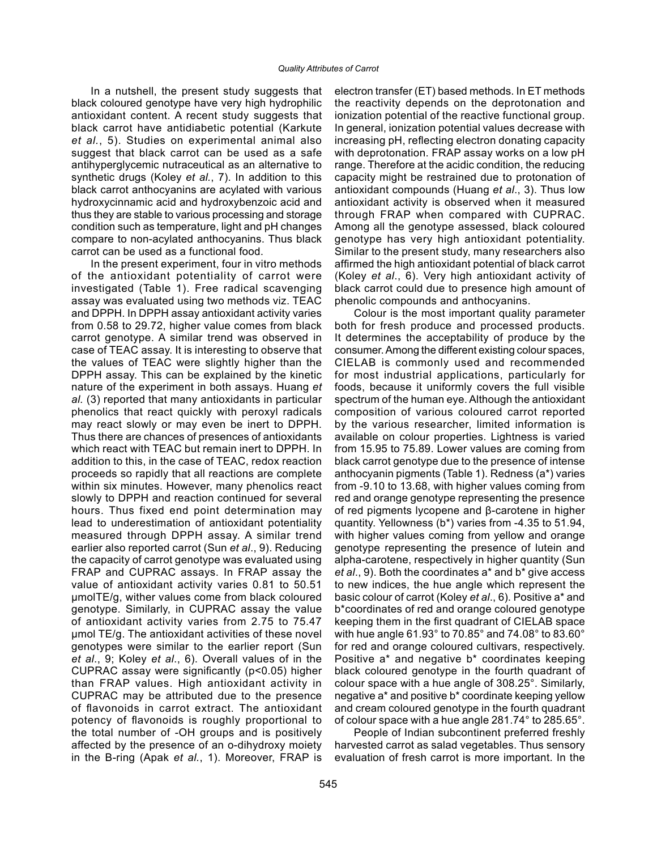In a nutshell, the present study suggests that black coloured genotype have very high hydrophilic antioxidant content. A recent study suggests that black carrot have antidiabetic potential (Karkute *et al.*, 5). Studies on experimental animal also suggest that black carrot can be used as a safe antihyperglycemic nutraceutical as an alternative to synthetic drugs (Koley *et al.*, 7). In addition to this black carrot anthocyanins are acylated with various hydroxycinnamic acid and hydroxybenzoic acid and thus they are stable to various processing and storage condition such as temperature, light and pH changes compare to non-acylated anthocyanins. Thus black carrot can be used as a functional food.

In the present experiment, four in vitro methods of the antioxidant potentiality of carrot were investigated (Table 1). Free radical scavenging assay was evaluated using two methods viz. TEAC and DPPH. In DPPH assay antioxidant activity varies from 0.58 to 29.72, higher value comes from black carrot genotype. A similar trend was observed in case of TEAC assay. It is interesting to observe that the values of TEAC were slightly higher than the DPPH assay. This can be explained by the kinetic nature of the experiment in both assays. Huang *et al.* (3) reported that many antioxidants in particular phenolics that react quickly with peroxyl radicals may react slowly or may even be inert to DPPH. Thus there are chances of presences of antioxidants which react with TEAC but remain inert to DPPH. In addition to this, in the case of TEAC, redox reaction proceeds so rapidly that all reactions are complete within six minutes. However, many phenolics react slowly to DPPH and reaction continued for several hours. Thus fixed end point determination may lead to underestimation of antioxidant potentiality measured through DPPH assay. A similar trend earlier also reported carrot (Sun *et al*., 9). Reducing the capacity of carrot genotype was evaluated using FRAP and CUPRAC assays. In FRAP assay the value of antioxidant activity varies 0.81 to 50.51 µmolTE/g, wither values come from black coloured genotype. Similarly, in CUPRAC assay the value of antioxidant activity varies from 2.75 to 75.47 µmol TE/g. The antioxidant activities of these novel genotypes were similar to the earlier report (Sun *et al*., 9; Koley *et al*., 6). Overall values of in the CUPRAC assay were significantly (p<0.05) higher than FRAP values. High antioxidant activity in CUPRAC may be attributed due to the presence of flavonoids in carrot extract. The antioxidant potency of flavonoids is roughly proportional to the total number of -OH groups and is positively affected by the presence of an o-dihydroxy moiety in the B-ring (Apak *et al.*, 1). Moreover, FRAP is electron transfer (ET) based methods. In ET methods the reactivity depends on the deprotonation and ionization potential of the reactive functional group. In general, ionization potential values decrease with increasing pH, reflecting electron donating capacity with deprotonation. FRAP assay works on a low pH range. Therefore at the acidic condition, the reducing capacity might be restrained due to protonation of antioxidant compounds (Huang *et al*., 3). Thus low antioxidant activity is observed when it measured through FRAP when compared with CUPRAC. Among all the genotype assessed, black coloured genotype has very high antioxidant potentiality. Similar to the present study, many researchers also affirmed the high antioxidant potential of black carrot (Koley *et al*., 6). Very high antioxidant activity of black carrot could due to presence high amount of phenolic compounds and anthocyanins.

Colour is the most important quality parameter both for fresh produce and processed products. It determines the acceptability of produce by the consumer. Among the different existing colour spaces, CIELAB is commonly used and recommended for most industrial applications, particularly for foods, because it uniformly covers the full visible spectrum of the human eye. Although the antioxidant composition of various coloured carrot reported by the various researcher, limited information is available on colour properties. Lightness is varied from 15.95 to 75.89. Lower values are coming from black carrot genotype due to the presence of intense anthocyanin pigments (Table 1). Redness (a\*) varies from -9.10 to 13.68, with higher values coming from red and orange genotype representing the presence of red pigments lycopene and β-carotene in higher quantity. Yellowness (b\*) varies from -4.35 to 51.94, with higher values coming from yellow and orange genotype representing the presence of lutein and alpha-carotene, respectively in higher quantity (Sun *et al*., 9). Both the coordinates a\* and b\* give access to new indices, the hue angle which represent the basic colour of carrot (Koley *et al*., 6). Positive a\* and b\*coordinates of red and orange coloured genotype keeping them in the first quadrant of CIELAB space with hue angle 61.93° to 70.85° and 74.08° to 83.60° for red and orange coloured cultivars, respectively. Positive a\* and negative b\* coordinates keeping black coloured genotype in the fourth quadrant of colour space with a hue angle of 308.25°. Similarly, negative a\* and positive b\* coordinate keeping yellow and cream coloured genotype in the fourth quadrant of colour space with a hue angle 281.74° to 285.65°.

People of Indian subcontinent preferred freshly harvested carrot as salad vegetables. Thus sensory evaluation of fresh carrot is more important. In the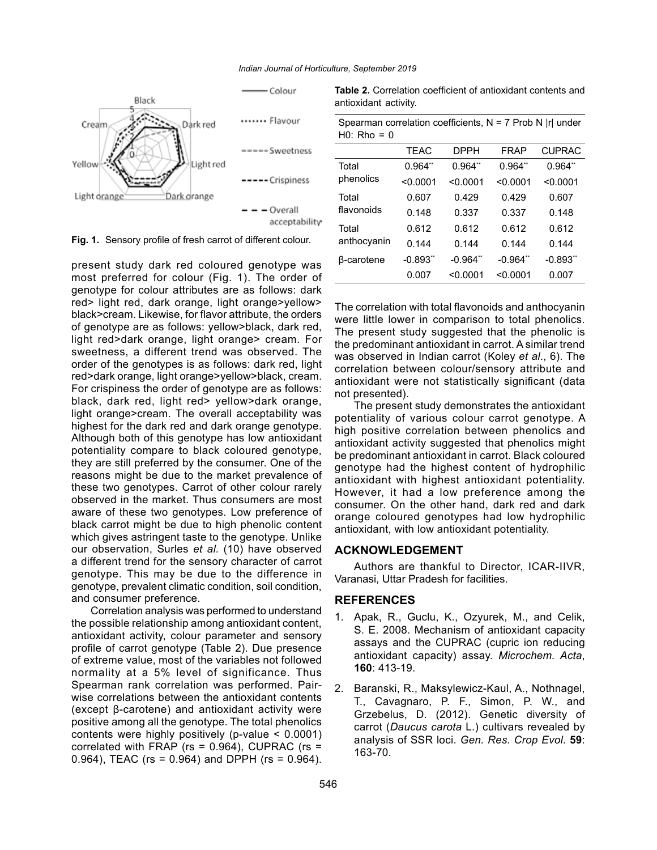

**Fig. 1.** Sensory profile of fresh carrot of different colour.

present study dark red coloured genotype was most preferred for colour (Fig. 1). The order of genotype for colour attributes are as follows: dark red> light red, dark orange, light orange>yellow> black>cream. Likewise, for flavor attribute, the orders of genotype are as follows: yellow>black, dark red, light red>dark orange, light orange> cream. For sweetness, a different trend was observed. The order of the genotypes is as follows: dark red, light red>dark orange, light orange>yellow>black, cream. For crispiness the order of genotype are as follows: black, dark red, light red> yellow>dark orange, light orange>cream. The overall acceptability was highest for the dark red and dark orange genotype. Although both of this genotype has low antioxidant potentiality compare to black coloured genotype, they are still preferred by the consumer. One of the reasons might be due to the market prevalence of these two genotypes. Carrot of other colour rarely observed in the market. Thus consumers are most aware of these two genotypes. Low preference of black carrot might be due to high phenolic content which gives astringent taste to the genotype. Unlike our observation, Surles *et al.* (10) have observed a different trend for the sensory character of carrot genotype. This may be due to the difference in genotype, prevalent climatic condition, soil condition, and consumer preference.

Correlation analysis was performed to understand the possible relationship among antioxidant content, antioxidant activity, colour parameter and sensory profile of carrot genotype (Table 2). Due presence of extreme value, most of the variables not followed normality at a 5% level of significance. Thus Spearman rank correlation was performed. Pairwise correlations between the antioxidant contents (except β-carotene) and antioxidant activity were positive among all the genotype. The total phenolics contents were highly positively (p-value < 0.0001) correlated with FRAP ( $rs = 0.964$ ), CUPRAC ( $rs =$ 0.964), TEAC (rs = 0.964) and DPPH (rs = 0.964).

**Table 2.** Correlation coefficient of antioxidant contents and antioxidant activity.

| Spearman correlation coefficients, $N = 7$ Prob N  r  under<br>$H0$ : Rho = 0 |                       |             |           |               |  |  |  |  |
|-------------------------------------------------------------------------------|-----------------------|-------------|-----------|---------------|--|--|--|--|
|                                                                               | <b>TEAC</b>           | <b>DPPH</b> | FRAP      | <b>CUPRAC</b> |  |  |  |  |
| Total                                                                         | $0.964$ <sup>**</sup> | 0.964"      | $0.964**$ | 0.964"        |  |  |  |  |
| phenolics                                                                     | < 0.0001              | < 0.0001    | < 0.0001  | < 0.0001      |  |  |  |  |
| Total<br>flavonoids                                                           | 0.607                 | 0.429       | 0.429     | 0.607         |  |  |  |  |
|                                                                               | 0.148                 | 0.337       | 0.337     | 0.148         |  |  |  |  |
| Total<br>anthocyanin                                                          | 0.612                 | 0.612       | 0.612     | 0.612         |  |  |  |  |
|                                                                               | 0.144                 | 0.144       | 0.144     | 0.144         |  |  |  |  |
| <b>B-carotene</b>                                                             | $-0.893"$             | $-0.964"$   | $-0.964"$ | $-0.893"$     |  |  |  |  |
|                                                                               | 0.007                 | < 0.0001    | < 0.0001  | 0.007         |  |  |  |  |

The correlation with total flavonoids and anthocyanin were little lower in comparison to total phenolics. The present study suggested that the phenolic is the predominant antioxidant in carrot. A similar trend was observed in Indian carrot (Koley *et al*., 6). The correlation between colour/sensory attribute and antioxidant were not statistically significant (data not presented).

The present study demonstrates the antioxidant potentiality of various colour carrot genotype. A high positive correlation between phenolics and antioxidant activity suggested that phenolics might be predominant antioxidant in carrot. Black coloured genotype had the highest content of hydrophilic antioxidant with highest antioxidant potentiality. However, it had a low preference among the consumer. On the other hand, dark red and dark orange coloured genotypes had low hydrophilic antioxidant, with low antioxidant potentiality.

## **ACKNOWLEDGEMENT**

Authors are thankful to Director, ICAR-IIVR, Varanasi, Uttar Pradesh for facilities.

## **REFERENCES**

- 1. Apak, R., Guclu, K., Ozyurek, M., and Celik, S. E. 2008. Mechanism of antioxidant capacity assays and the CUPRAC (cupric ion reducing antioxidant capacity) assay. *Microchem. Acta*, **160**: 413-19.
- 2. Baranski, R., Maksylewicz-Kaul, A., Nothnagel, T., Cavagnaro, P. F., Simon, P. W., and Grzebelus, D. (2012). Genetic diversity of carrot (*Daucus carota* L.) cultivars revealed by analysis of SSR loci. *Gen. Res. Crop Evol.* **59**: 163-70.